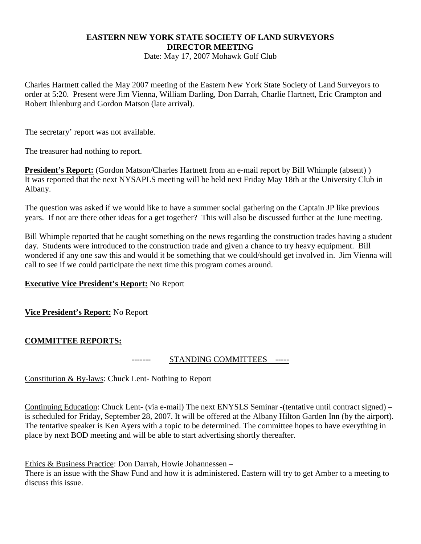# **EASTERN NEW YORK STATE SOCIETY OF LAND SURVEYORS DIRECTOR MEETING**

Date: May 17, 2007 Mohawk Golf Club

Charles Hartnett called the May 2007 meeting of the Eastern New York State Society of Land Surveyors to order at 5:20. Present were Jim Vienna, William Darling, Don Darrah, Charlie Hartnett, Eric Crampton and Robert Ihlenburg and Gordon Matson (late arrival).

The secretary' report was not available.

The treasurer had nothing to report.

**President's Report:** (Gordon Matson/Charles Hartnett from an e-mail report by Bill Whimple (absent) ) It was reported that the next NYSAPLS meeting will be held next Friday May 18th at the University Club in Albany.

The question was asked if we would like to have a summer social gathering on the Captain JP like previous years. If not are there other ideas for a get together? This will also be discussed further at the June meeting.

Bill Whimple reported that he caught something on the news regarding the construction trades having a student day. Students were introduced to the construction trade and given a chance to try heavy equipment. Bill wondered if any one saw this and would it be something that we could/should get involved in. Jim Vienna will call to see if we could participate the next time this program comes around.

# **Executive Vice President's Report:** No Report

**Vice President's Report:** No Report

### **COMMITTEE REPORTS:**

------- STANDING COMMITTEES -----

Constitution & By-laws: Chuck Lent- Nothing to Report

Continuing Education: Chuck Lent- (via e-mail) The next ENYSLS Seminar -(tentative until contract signed) – is scheduled for Friday, September 28, 2007. It will be offered at the Albany Hilton Garden Inn (by the airport). The tentative speaker is Ken Ayers with a topic to be determined. The committee hopes to have everything in place by next BOD meeting and will be able to start advertising shortly thereafter.

Ethics & Business Practice: Don Darrah, Howie Johannessen –

There is an issue with the Shaw Fund and how it is administered. Eastern will try to get Amber to a meeting to discuss this issue.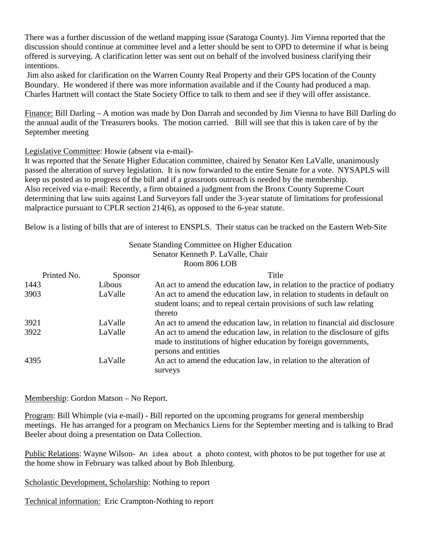There was a further discussion of the wetland mapping issue (Saratoga County). Jim Vienna reported that the discussion should continue at committee level and a letter should be sent to OPD to determine if what is being offered is surveying. A clarification letter was sent out on behalf of the involved business clarifying their intentions.

 Jim also asked for clarification on the Warren County Real Property and their GPS location of the County Boundary. He wondered if there was more information available and if the County had produced a map. Charles Hartnett will contact the State Society Office to talk to them and see if they will offer assistance.

Finance: Bill Darling – A motion was made by Don Darrah and seconded by Jim Vienna to have Bill Darling do the annual audit of the Treasurers books. The motion carried. Bill will see that this is taken care of by the September meeting

Legislative Committee: Howie (absent via e-mail)-

It was reported that the Senate Higher Education committee, chaired by Senator Ken LaValle, unanimously passed the alteration of survey legislation. It is now forwarded to the entire Senate for a vote. NYSAPLS will keep us posted as to progress of the bill and if a grassroots outreach is needed by the membership. Also received via e-mail: Recently, a firm obtained a judgment from the Bronx County Supreme Court determining that law suits against Land Surveyors fall under the 3-year statute of limitations for professional malpractice pursuant to CPLR section 214(6), as opposed to the 6-year statute.

Below is a listing of bills that are of interest to ENSPLS. Their status can be tracked on the Eastern Web-Site

|              |         | Senate Standing Committee on Higher Education                                                                                                                         |
|--------------|---------|-----------------------------------------------------------------------------------------------------------------------------------------------------------------------|
|              |         | Senator Kenneth P. LaValle, Chair                                                                                                                                     |
| Room 806 LOB |         |                                                                                                                                                                       |
| Printed No.  | Sponsor | Title                                                                                                                                                                 |
| 1443         | Libous  | An act to amend the education law, in relation to the practice of podiatry                                                                                            |
| 3903         | LaValle | An act to amend the education law, in relation to students in default on<br>student loans; and to repeal certain provisions of such law relating<br>thereto           |
| 3921         | LaValle | An act to amend the education law, in relation to financial aid disclosure                                                                                            |
| 3922         | LaValle | An act to amend the education law, in relation to the disclosure of gifts<br>made to institutions of higher education by foreign governments,<br>persons and entities |
| 4395         | LaValle | An act to amend the education law, in relation to the alteration of<br>surveys                                                                                        |

Membership: Gordon Matson – No Report.

Program: Bill Whimple (via e-mail) - Bill reported on the upcoming programs for general membership meetings. He has arranged for a program on Mechanics Liens for the September meeting and is talking to Brad Beeler about doing a presentation on Data Collection.

Public Relations: Wayne Wilson- An idea about a photo contest, with photos to be put together for use at the home show in February was talked about by Bob Ihlenburg.

Scholastic Development, Scholarship: Nothing to report

Technical information: Eric Crampton-Nothing to report